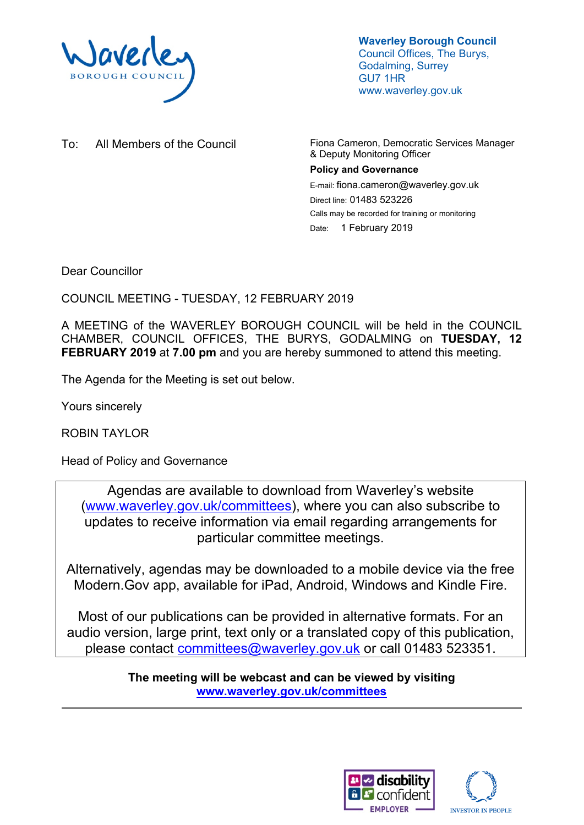

**Waverley Borough Council** Council Offices, The Burys, Godalming, Surrey GU7 1HR www.waverley.gov.uk

To: All Members of the Council Fiona Cameron, Democratic Services Manager & Deputy Monitoring Officer **Policy and Governance** E-mail: fiona.cameron@waverley.gov.uk Direct line: 01483 523226 Calls may be recorded for training or monitoring Date: 1 February 2019

Dear Councillor

COUNCIL MEETING - TUESDAY, 12 FEBRUARY 2019

A MEETING of the WAVERLEY BOROUGH COUNCIL will be held in the COUNCIL CHAMBER, COUNCIL OFFICES, THE BURYS, GODALMING on **TUESDAY, 12 FEBRUARY 2019** at **7.00 pm** and you are hereby summoned to attend this meeting.

The Agenda for the Meeting is set out below.

Yours sincerely

ROBIN TAYLOR

Head of Policy and Governance

Agendas are available to download from Waverley's website [\(www.waverley.gov.uk/committees](http://www.waverley.gov.uk/committees)), where you can also subscribe to updates to receive information via email regarding arrangements for particular committee meetings.

Alternatively, agendas may be downloaded to a mobile device via the free Modern.Gov app, available for iPad, Android, Windows and Kindle Fire.

Most of our publications can be provided in alternative formats. For an audio version, large print, text only or a translated copy of this publication, please contact [committees@waverley.gov.uk](mailto:committees@waverley.gov.uk) or call 01483 523351.

> **The meeting will be webcast and can be viewed by visiting [www.waverley.gov.uk/committees](http://www.waverley.gov.uk/committees)**



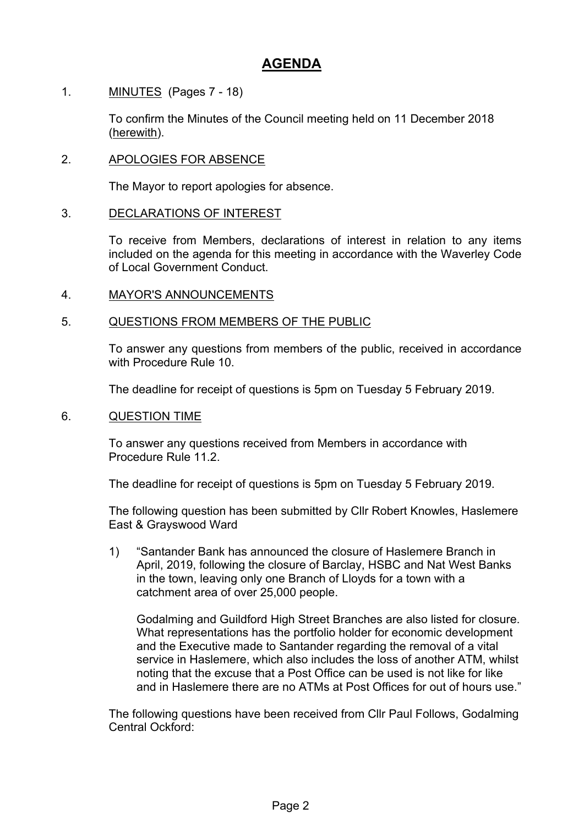# **AGENDA**

1. MINUTES (Pages 7 - 18)

To confirm the Minutes of the Council meeting held on 11 December 2018 (herewith).

## 2. APOLOGIES FOR ABSENCE

The Mayor to report apologies for absence.

#### 3. DECLARATIONS OF INTEREST

To receive from Members, declarations of interest in relation to any items included on the agenda for this meeting in accordance with the Waverley Code of Local Government Conduct.

4. MAYOR'S ANNOUNCEMENTS

#### 5. QUESTIONS FROM MEMBERS OF THE PUBLIC

To answer any questions from members of the public, received in accordance with Procedure Rule 10.

The deadline for receipt of questions is 5pm on Tuesday 5 February 2019.

#### 6. QUESTION TIME

To answer any questions received from Members in accordance with Procedure Rule 11.2.

The deadline for receipt of questions is 5pm on Tuesday 5 February 2019.

The following question has been submitted by Cllr Robert Knowles, Haslemere East & Grayswood Ward

1) "Santander Bank has announced the closure of Haslemere Branch in April, 2019, following the closure of Barclay, HSBC and Nat West Banks in the town, leaving only one Branch of Lloyds for a town with a catchment area of over 25,000 people.

Godalming and Guildford High Street Branches are also listed for closure. What representations has the portfolio holder for economic development and the Executive made to Santander regarding the removal of a vital service in Haslemere, which also includes the loss of another ATM, whilst noting that the excuse that a Post Office can be used is not like for like and in Haslemere there are no ATMs at Post Offices for out of hours use."

The following questions have been received from Cllr Paul Follows, Godalming Central Ockford: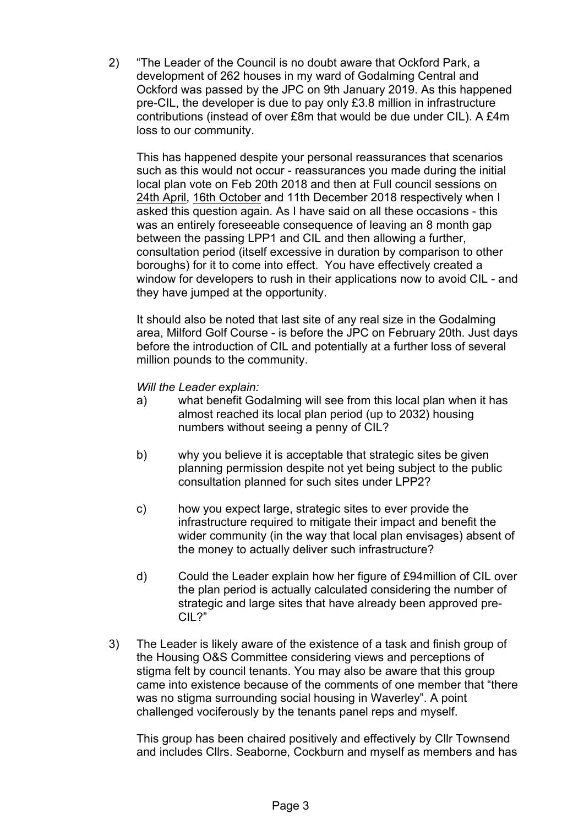2) "The Leader of the Council is no doubt aware that Ockford Park, a development of 262 houses in my ward of Godalming Central and Ockford was passed by the JPC on 9th January 2019. As this happened pre-CIL, the developer is due to pay only £3.8 million in infrastructure contributions (instead of over £8m that would be due under CIL). A £4m loss to our community.

This has happened despite your personal reassurances that scenarios such as this would not occur - reassurances you made during the initial local plan vote on Feb 20th 2018 and then at Full council sessions on 24th April, 16th October and 11th December 2018 respectively when I asked this question again. As I have said on all these occasions - this was an entirely foreseeable consequence of leaving an 8 month gap between the passing LPP1 and CIL and then allowing a further, consultation period (itself excessive in duration by comparison to other boroughs) for it to come into effect. You have effectively created a window for developers to rush in their applications now to avoid CIL - and they have jumped at the opportunity.

It should also be noted that last site of any real size in the Godalming area, Milford Golf Course - is before the JPC on February 20th. Just days before the introduction of CIL and potentially at a further loss of several million pounds to the community.

#### *Will the Leader explain:*

- a) what benefit Godalming will see from this local plan when it has almost reached its local plan period (up to 2032) housing numbers without seeing a penny of CIL?
- b) why you believe it is acceptable that strategic sites be given planning permission despite not yet being subject to the public consultation planned for such sites under LPP2?
- c) how you expect large, strategic sites to ever provide the infrastructure required to mitigate their impact and benefit the wider community (in the way that local plan envisages) absent of the money to actually deliver such infrastructure?
- d) Could the Leader explain how her figure of £94million of CIL over the plan period is actually calculated considering the number of strategic and large sites that have already been approved pre-CIL?"
- 3) The Leader is likely aware of the existence of a task and finish group of the Housing O&S Committee considering views and perceptions of stigma felt by council tenants. You may also be aware that this group came into existence because of the comments of one member that "there was no stigma surrounding social housing in Waverley". A point challenged vociferously by the tenants panel reps and myself.

This group has been chaired positively and effectively by Cllr Townsend and includes Cllrs. Seaborne, Cockburn and myself as members and has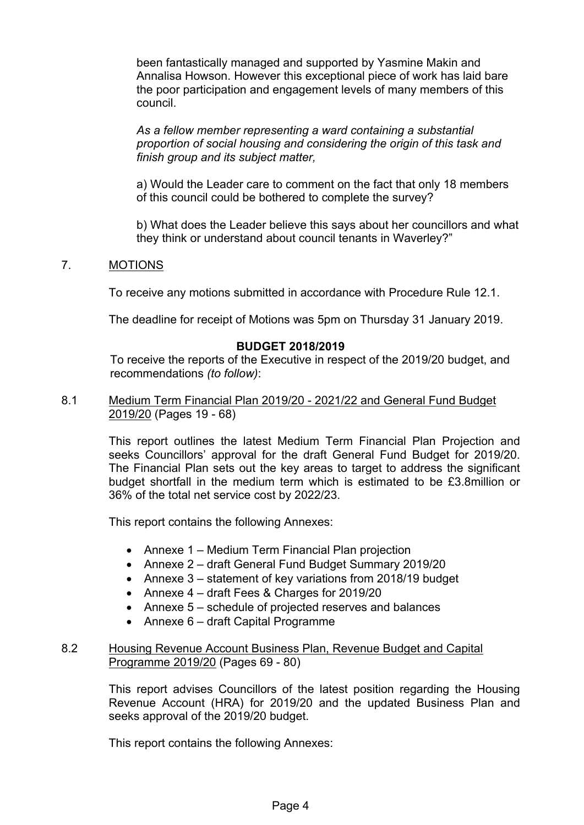been fantastically managed and supported by Yasmine Makin and Annalisa Howson. However this exceptional piece of work has laid bare the poor participation and engagement levels of many members of this council.

*As a fellow member representing a ward containing a substantial proportion of social housing and considering the origin of this task and finish group and its subject matter,*

a) Would the Leader care to comment on the fact that only 18 members of this council could be bothered to complete the survey?

b) What does the Leader believe this says about her councillors and what they think or understand about council tenants in Waverley?"

## 7. MOTIONS

To receive any motions submitted in accordance with Procedure Rule 12.1.

The deadline for receipt of Motions was 5pm on Thursday 31 January 2019.

# **BUDGET 2018/2019**

To receive the reports of the Executive in respect of the 2019/20 budget, and recommendations *(to follow)*:

8.1 Medium Term Financial Plan 2019/20 - 2021/22 and General Fund Budget 2019/20 (Pages 19 - 68)

> This report outlines the latest Medium Term Financial Plan Projection and seeks Councillors' approval for the draft General Fund Budget for 2019/20. The Financial Plan sets out the key areas to target to address the significant budget shortfall in the medium term which is estimated to be £3.8million or 36% of the total net service cost by 2022/23.

This report contains the following Annexes:

- Annexe 1 Medium Term Financial Plan projection
- Annexe 2 draft General Fund Budget Summary 2019/20
- Annexe 3 statement of key variations from 2018/19 budget
- Annexe 4 draft Fees & Charges for 2019/20
- Annexe 5 schedule of projected reserves and balances
- Annexe 6 draft Capital Programme

#### 8.2 Housing Revenue Account Business Plan, Revenue Budget and Capital Programme 2019/20 (Pages 69 - 80)

This report advises Councillors of the latest position regarding the Housing Revenue Account (HRA) for 2019/20 and the updated Business Plan and seeks approval of the 2019/20 budget.

This report contains the following Annexes: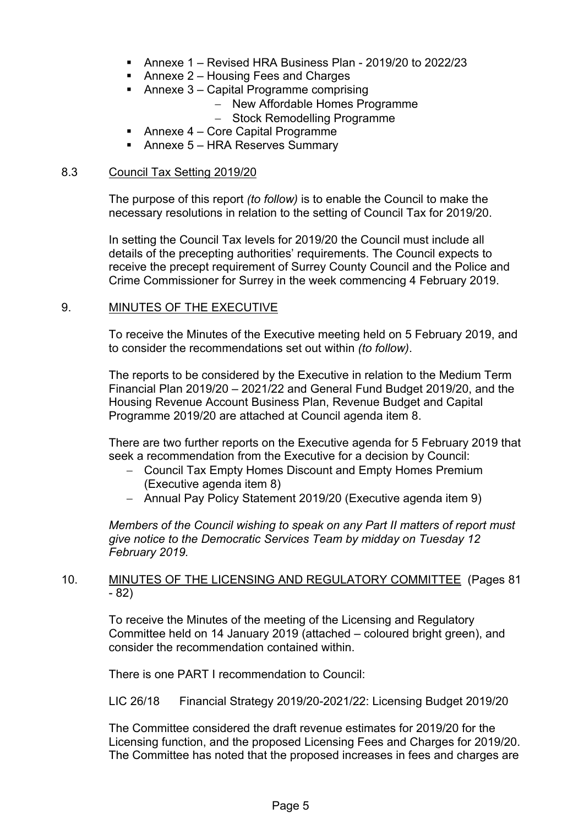- Annexe 1 Revised HRA Business Plan 2019/20 to 2022/23
- Annexe 2 Housing Fees and Charges
- Annexe 3 Capital Programme comprising
	- New Affordable Homes Programme
	- Stock Remodelling Programme
- Annexe 4 Core Capital Programme
- Annexe 5 HRA Reserves Summary

#### 8.3 Council Tax Setting 2019/20

The purpose of this report *(to follow)* is to enable the Council to make the necessary resolutions in relation to the setting of Council Tax for 2019/20.

In setting the Council Tax levels for 2019/20 the Council must include all details of the precepting authorities' requirements. The Council expects to receive the precept requirement of Surrey County Council and the Police and Crime Commissioner for Surrey in the week commencing 4 February 2019.

## 9. MINUTES OF THE EXECUTIVE

To receive the Minutes of the Executive meeting held on 5 February 2019, and to consider the recommendations set out within *(to follow)*.

The reports to be considered by the Executive in relation to the Medium Term Financial Plan 2019/20 – 2021/22 and General Fund Budget 2019/20, and the Housing Revenue Account Business Plan, Revenue Budget and Capital Programme 2019/20 are attached at Council agenda item 8.

There are two further reports on the Executive agenda for 5 February 2019 that seek a recommendation from the Executive for a decision by Council:

- Council Tax Empty Homes Discount and Empty Homes Premium (Executive agenda item 8)
- Annual Pay Policy Statement 2019/20 (Executive agenda item 9)

*Members of the Council wishing to speak on any Part II matters of report must give notice to the Democratic Services Team by midday on Tuesday 12 February 2019.*

## 10. MINUTES OF THE LICENSING AND REGULATORY COMMITTEE (Pages 81 - 82)

To receive the Minutes of the meeting of the Licensing and Regulatory Committee held on 14 January 2019 (attached – coloured bright green), and consider the recommendation contained within.

There is one PART I recommendation to Council:

LIC 26/18 Financial Strategy 2019/20-2021/22: Licensing Budget 2019/20

The Committee considered the draft revenue estimates for 2019/20 for the Licensing function, and the proposed Licensing Fees and Charges for 2019/20. The Committee has noted that the proposed increases in fees and charges are